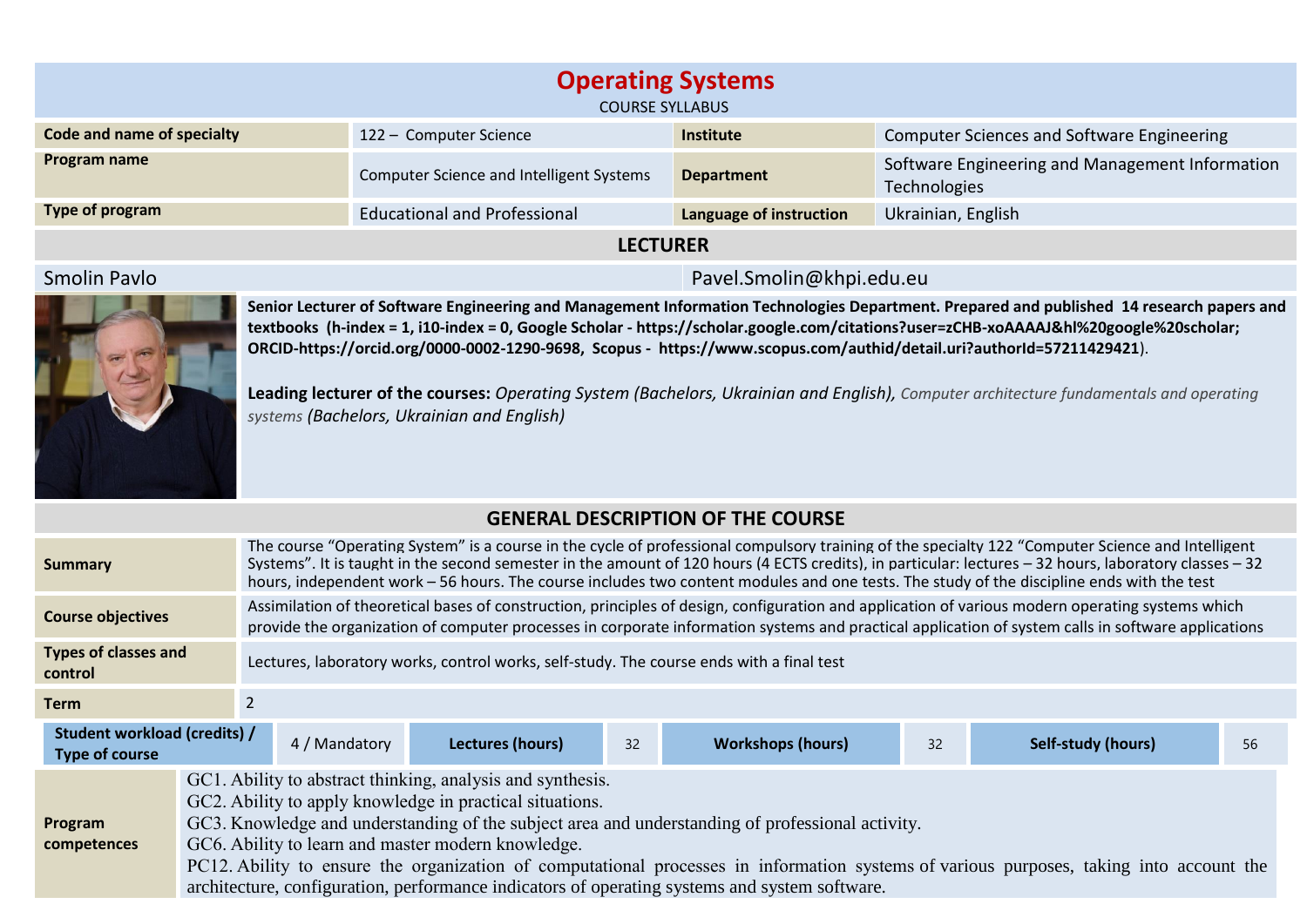| <b>Operating Systems</b><br><b>COURSE SYLLABUS</b> |                                          |                         |                                                                        |  |  |  |
|----------------------------------------------------|------------------------------------------|-------------------------|------------------------------------------------------------------------|--|--|--|
| Code and name of specialty                         | 122 - Computer Science                   | <b>Institute</b>        | <b>Computer Sciences and Software Engineering</b>                      |  |  |  |
| Program name                                       | Computer Science and Intelligent Systems | <b>Department</b>       | Software Engineering and Management Information<br><b>Technologies</b> |  |  |  |
| Type of program                                    | <b>Educational and Professional</b>      | Language of instruction | Ukrainian, English                                                     |  |  |  |
|                                                    |                                          |                         |                                                                        |  |  |  |

## **LECTURER**

## Smolin Pavlo Pavel.Smolin@khpi.edu.eu



**Senior Lecturer of Software Engineering and Management Information Technologies Department. Prepared and published 14 research papers and textbooks (h-index = 1, i10-index = 0, Google Scholar - https://scholar.google.com/citations?user=zCHB-xoAAAAJ&hl%20google%20scholar; ORCID-https://orcid.org/0000-0002-1290-9698, Scopus - https://www.scopus.com/authid/detail.uri?authorId=57211429421**).

**Leading lecturer of the courses:** *Operating System (Bachelors, Ukrainian and English), Computer architecture fundamentals and operating systems (Bachelors, Ukrainian and English)*

## **GENERAL DESCRIPTION OF THE COURSE**

| <b>Summary</b>                                                         |                                                                                                                                                                                                                                                                                                                                                                                                                                                                                                                              | The course "Operating System" is a course in the cycle of professional compulsory training of the specialty 122 "Computer Science and Intelligent<br>Systems". It is taught in the second semester in the amount of 120 hours (4 ECTS credits), in particular: lectures - 32 hours, laboratory classes - 32<br>hours, independent work - 56 hours. The course includes two content modules and one tests. The study of the discipline ends with the test |                         |    |                          |    |                           |    |
|------------------------------------------------------------------------|------------------------------------------------------------------------------------------------------------------------------------------------------------------------------------------------------------------------------------------------------------------------------------------------------------------------------------------------------------------------------------------------------------------------------------------------------------------------------------------------------------------------------|----------------------------------------------------------------------------------------------------------------------------------------------------------------------------------------------------------------------------------------------------------------------------------------------------------------------------------------------------------------------------------------------------------------------------------------------------------|-------------------------|----|--------------------------|----|---------------------------|----|
| <b>Course objectives</b>                                               |                                                                                                                                                                                                                                                                                                                                                                                                                                                                                                                              | Assimilation of theoretical bases of construction, principles of design, configuration and application of various modern operating systems which<br>provide the organization of computer processes in corporate information systems and practical application of system calls in software applications                                                                                                                                                   |                         |    |                          |    |                           |    |
| <b>Types of classes and</b><br>control                                 |                                                                                                                                                                                                                                                                                                                                                                                                                                                                                                                              | Lectures, laboratory works, control works, self-study. The course ends with a final test                                                                                                                                                                                                                                                                                                                                                                 |                         |    |                          |    |                           |    |
| <b>Term</b>                                                            |                                                                                                                                                                                                                                                                                                                                                                                                                                                                                                                              |                                                                                                                                                                                                                                                                                                                                                                                                                                                          |                         |    |                          |    |                           |    |
| Student workload (credits) /<br>4 / Mandatory<br><b>Type of course</b> |                                                                                                                                                                                                                                                                                                                                                                                                                                                                                                                              |                                                                                                                                                                                                                                                                                                                                                                                                                                                          | <b>Lectures (hours)</b> | 32 | <b>Workshops (hours)</b> | 32 | <b>Self-study (hours)</b> | 56 |
| Program<br>competences                                                 | GC1. Ability to abstract thinking, analysis and synthesis.<br>GC2. Ability to apply knowledge in practical situations.<br>GC3. Knowledge and understanding of the subject area and understanding of professional activity.<br>GC6. Ability to learn and master modern knowledge.<br>PC12. Ability to ensure the organization of computational processes in information systems of various purposes, taking into account the<br>architecture, configuration, performance indicators of operating systems and system software. |                                                                                                                                                                                                                                                                                                                                                                                                                                                          |                         |    |                          |    |                           |    |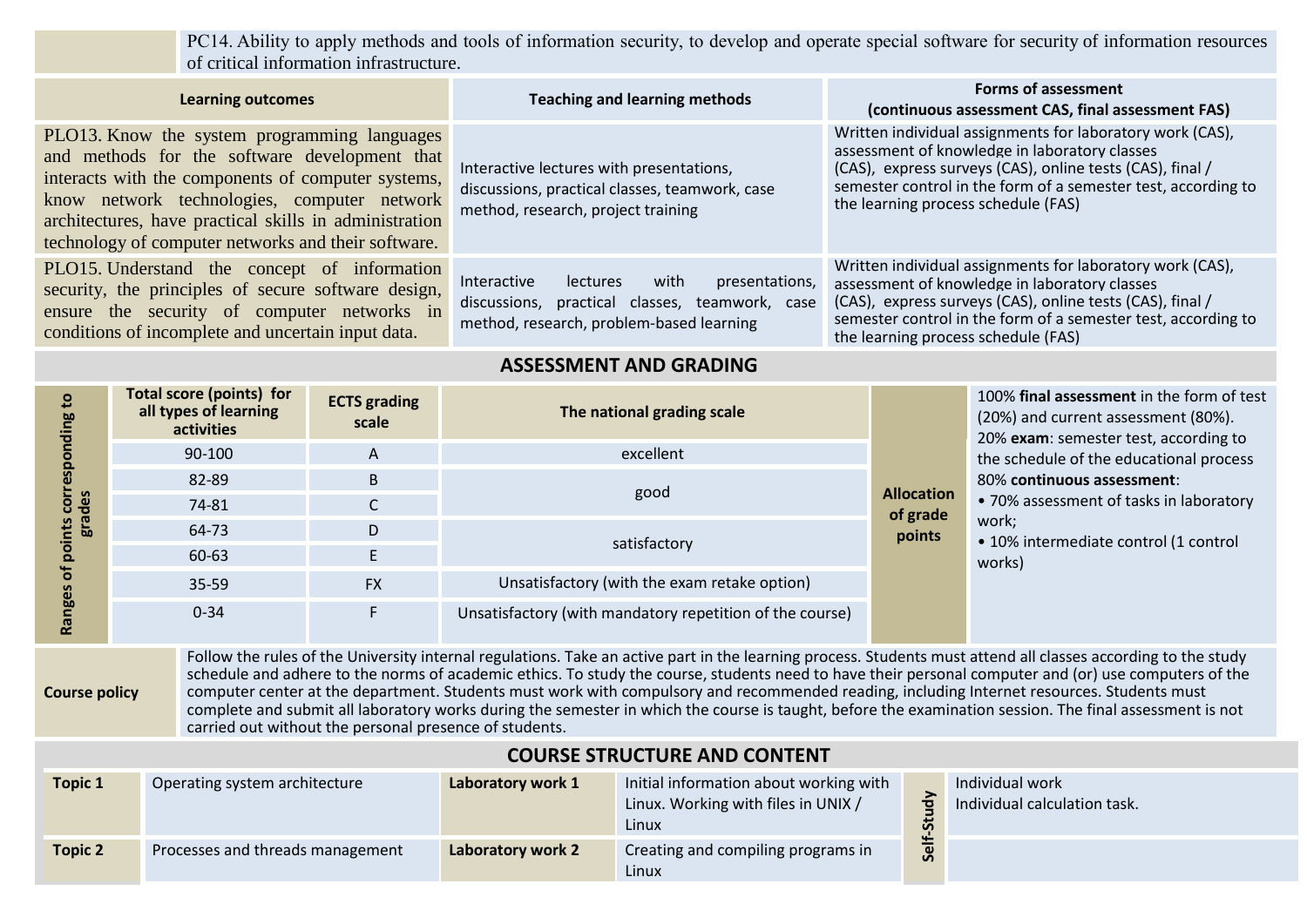PC14. Ability to apply methods and tools of information security, to develop and operate special software for security of information resources of critical information infrastructure.

| <b>Learning outcomes</b>                                                                                                                                                                                                                                                                                            | <b>Teaching and learning methods</b>                                                                                                                   | <b>Forms of assessment</b><br>(continuous assessment CAS, final assessment FAS)                                                                                                                                                                                                 |  |  |  |  |
|---------------------------------------------------------------------------------------------------------------------------------------------------------------------------------------------------------------------------------------------------------------------------------------------------------------------|--------------------------------------------------------------------------------------------------------------------------------------------------------|---------------------------------------------------------------------------------------------------------------------------------------------------------------------------------------------------------------------------------------------------------------------------------|--|--|--|--|
| PLO13. Know the system programming languages<br>and methods for the software development that<br>interacts with the components of computer systems,<br>know network technologies, computer network<br>architectures, have practical skills in administration<br>technology of computer networks and their software. | Interactive lectures with presentations,<br>discussions, practical classes, teamwork, case<br>method, research, project training                       | Written individual assignments for laboratory work (CAS),<br>assessment of knowledge in laboratory classes<br>(CAS), express surveys (CAS), online tests (CAS), final /<br>semester control in the form of a semester test, according to<br>the learning process schedule (FAS) |  |  |  |  |
| PLO15. Understand the concept of information<br>security, the principles of secure software design,<br>ensure the security of computer networks in<br>conditions of incomplete and uncertain input data.                                                                                                            | presentations,<br><b>Interactive</b><br>lectures<br>with<br>discussions, practical classes, teamwork, case<br>method, research, problem-based learning | Written individual assignments for laboratory work (CAS),<br>assessment of knowledge in laboratory classes<br>(CAS), express surveys (CAS), online tests (CAS), final /<br>semester control in the form of a semester test, according to<br>the learning process schedule (FAS) |  |  |  |  |
| <b>ASSESSMENT AND GRADING</b>                                                                                                                                                                                                                                                                                       |                                                                                                                                                        |                                                                                                                                                                                                                                                                                 |  |  |  |  |

| $\overline{a}$           | <b>Total score (points) for</b><br>all types of learning<br>activities | <b>ECTS</b> grading<br>The national grading scale<br>scale |                                                          |                                         | 100% final assessment in the form of test<br>(20%) and current assessment (80%).<br>20% exam: semester test, according to<br>the schedule of the educational process |
|--------------------------|------------------------------------------------------------------------|------------------------------------------------------------|----------------------------------------------------------|-----------------------------------------|----------------------------------------------------------------------------------------------------------------------------------------------------------------------|
|                          | 90-100                                                                 | A                                                          | excellent                                                |                                         |                                                                                                                                                                      |
|                          | 82-89                                                                  | B                                                          |                                                          |                                         | 80% continuous assessment:                                                                                                                                           |
| S<br>$\ddot{\mathbf{e}}$ | 74-81                                                                  | C                                                          | good                                                     | <b>Allocation</b><br>of grade<br>points | • 70% assessment of tasks in laboratory<br>work;<br>• 10% intermediate control (1 control                                                                            |
| era                      | 64-73                                                                  | D                                                          |                                                          |                                         |                                                                                                                                                                      |
| o<br>o                   | 60-63                                                                  | E                                                          | satisfactory                                             |                                         | works)                                                                                                                                                               |
| ā                        | 35-59                                                                  | <b>FX</b>                                                  | Unsatisfactory (with the exam retake option)             |                                         |                                                                                                                                                                      |
| pges<br>Ra               | $0 - 34$                                                               | F                                                          | Unsatisfactory (with mandatory repetition of the course) |                                         |                                                                                                                                                                      |

**Course policy**

Follow the rules of the University internal regulations. Take an active part in the learning process. Students must attend all classes according to the study schedule and adhere to the norms of academic ethics. To study the course, students need to have their personal computer and (or) use computers of the computer center at the department. Students must work with compulsory and recommended reading, including Internet resources. Students must complete and submit all laboratory works during the semester in which the course is taught, before the examination session. The final assessment is not carried out without the personal presence of students.

| <b>COURSE STRUCTURE AND CONTENT</b> |                                  |                   |                                                                                        |       |                                                 |  |  |
|-------------------------------------|----------------------------------|-------------------|----------------------------------------------------------------------------------------|-------|-------------------------------------------------|--|--|
| <b>Topic 1</b>                      | Operating system architecture    | Laboratory work 1 | Initial information about working with<br>Linux. Working with files in UNIX /<br>Linux |       | Individual work<br>Individual calculation task. |  |  |
| <b>Topic 2</b>                      | Processes and threads management | Laboratory work 2 | Creating and compiling programs in<br>Linux                                            | Self. |                                                 |  |  |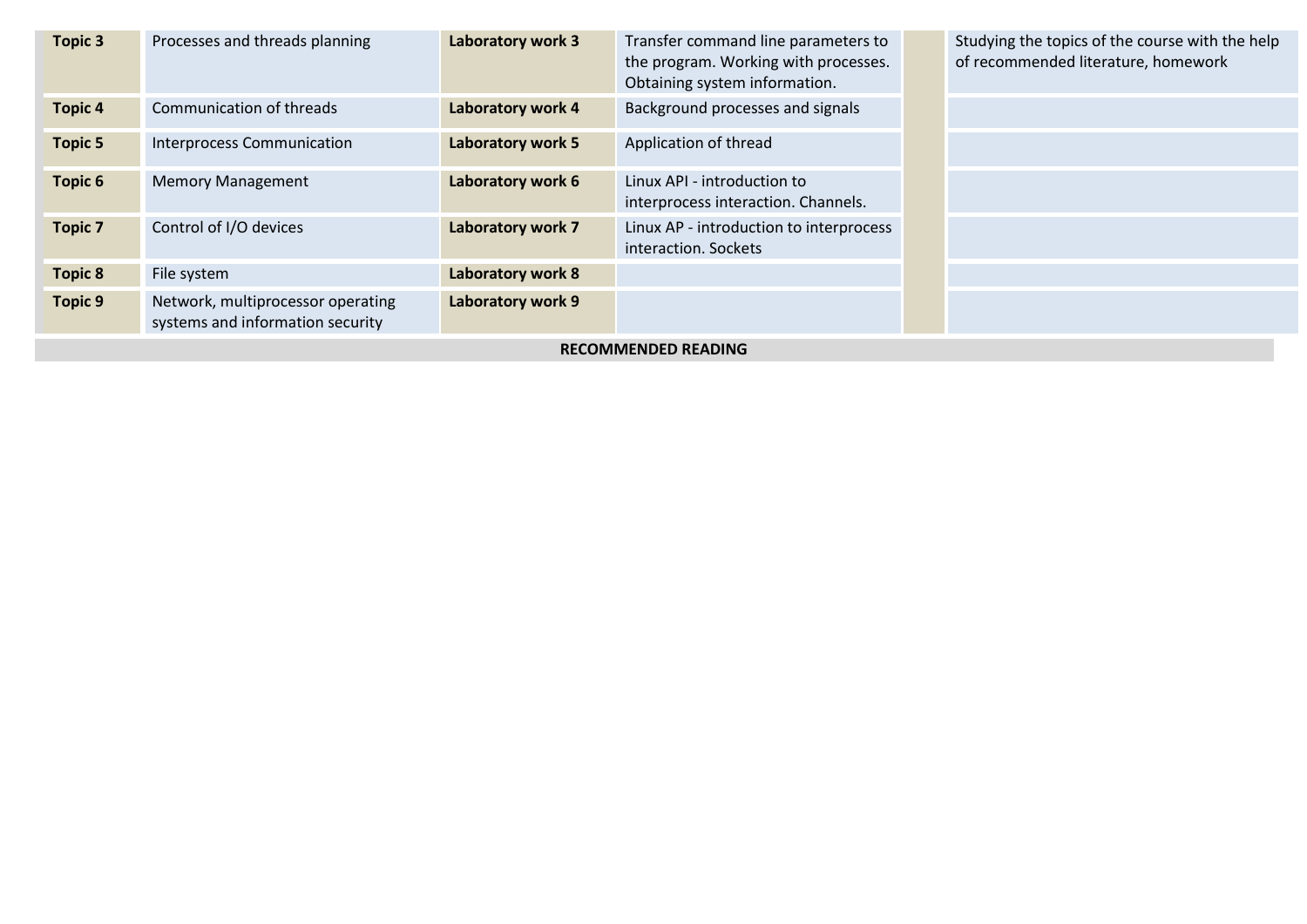| <b>Topic 3</b>             | Processes and threads planning                                        | Laboratory work 3 | Transfer command line parameters to<br>the program. Working with processes.<br>Obtaining system information. |  | Studying the topics of the course with the help<br>of recommended literature, homework |  |
|----------------------------|-----------------------------------------------------------------------|-------------------|--------------------------------------------------------------------------------------------------------------|--|----------------------------------------------------------------------------------------|--|
| <b>Topic 4</b>             | Communication of threads                                              | Laboratory work 4 | Background processes and signals                                                                             |  |                                                                                        |  |
| <b>Topic 5</b>             | <b>Interprocess Communication</b>                                     | Laboratory work 5 | Application of thread                                                                                        |  |                                                                                        |  |
| Topic 6                    | <b>Memory Management</b>                                              | Laboratory work 6 | Linux API - introduction to<br>interprocess interaction. Channels.                                           |  |                                                                                        |  |
| <b>Topic 7</b>             | Control of I/O devices                                                | Laboratory work 7 | Linux AP - introduction to interprocess<br>interaction. Sockets                                              |  |                                                                                        |  |
| <b>Topic 8</b>             | File system                                                           | Laboratory work 8 |                                                                                                              |  |                                                                                        |  |
| <b>Topic 9</b>             | Network, multiprocessor operating<br>systems and information security | Laboratory work 9 |                                                                                                              |  |                                                                                        |  |
| <b>RECOMMENDED READING</b> |                                                                       |                   |                                                                                                              |  |                                                                                        |  |